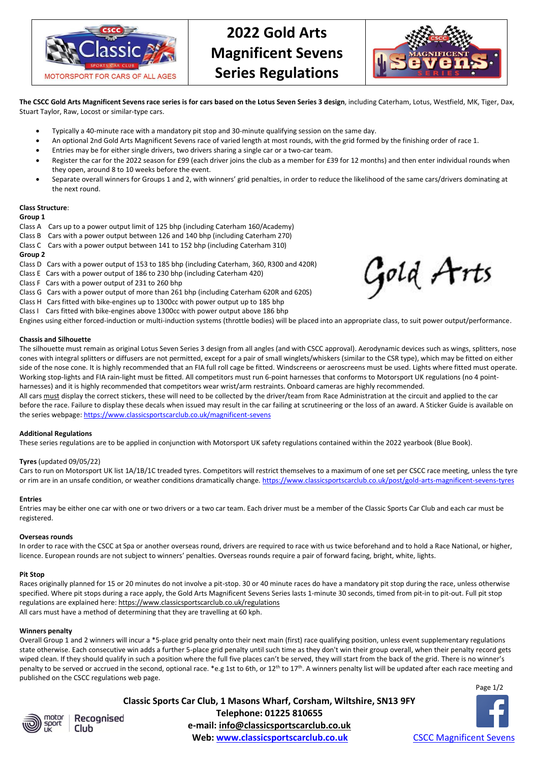

# **2022 Gold Arts Magnificent Sevens Series Regulations**



Gold Arts

**The CSCC Gold Arts Magnificent Sevens race series is for cars based on the Lotus Seven Series 3 design**, including Caterham, Lotus, Westfield, MK, Tiger, Dax, Stuart Taylor, Raw, Locost or similar-type cars.

- Typically a 40-minute race with a mandatory pit stop and 30-minute qualifying session on the same day.
- An optional 2nd Gold Arts Magnificent Sevens race of varied length at most rounds, with the grid formed by the finishing order of race 1.
- Entries may be for either single drivers, two drivers sharing a single car or a two-car team.
- Register the car for the 2022 season for £99 (each driver joins the club as a member for £39 for 12 months) and then enter individual rounds when they open, around 8 to 10 weeks before the event.
- Separate overall winners for Groups 1 and 2, with winners' grid penalties, in order to reduce the likelihood of the same cars/drivers dominating at the next round.

#### **Class Structure**:

#### **Group 1**

- Class A Cars up to a power output limit of 125 bhp (including Caterham 160/Academy)
- Class B Cars with a power output between 126 and 140 bhp (including Caterham 270)
- Class C Cars with a power output between 141 to 152 bhp (including Caterham 310)

# **Group 2**

- Class D Cars with a power output of 153 to 185 bhp (including Caterham, 360, R300 and 420R)
- Class E Cars with a power output of 186 to 230 bhp (including Caterham 420)
- Class F Cars with a power output of 231 to 260 bhp
- Class G Cars with a power output of more than 261 bhp (including Caterham 620R and 620S)
- Class H Cars fitted with bike-engines up to 1300cc with power output up to 185 bhp
- Class I Cars fitted with bike-engines above 1300cc with power output above 186 bhp
- Engines using either forced-induction or multi-induction systems (throttle bodies) will be placed into an appropriate class, to suit power output/performance.

# **Chassis and Silhouette**

The silhouette must remain as original Lotus Seven Series 3 design from all angles (and with CSCC approval). Aerodynamic devices such as wings, splitters, nose cones with integral splitters or diffusers are not permitted, except for a pair of small winglets/whiskers (similar to the CSR type), which may be fitted on either side of the nose cone. It is highly recommended that an FIA full roll cage be fitted. Windscreens or aeroscreens must be used. Lights where fitted must operate. Working stop-lights and FIA rain-light must be fitted. All competitors must run 6-point harnesses that conforms to Motorsport UK regulations (no 4 pointharnesses) and it is highly recommended that competitors wear wrist/arm restraints. Onboard cameras are highly recommended.

All cars must display the correct stickers, these will need to be collected by the driver/team from Race Administration at the circuit and applied to the car before the race. Failure to display these decals when issued may result in the car failing at scrutineering or the loss of an award. A Sticker Guide is available on the series webpage: <https://www.classicsportscarclub.co.uk/magnificent-sevens>

#### **Additional Regulations**

These series regulations are to be applied in conjunction with Motorsport UK safety regulations contained within the 2022 yearbook (Blue Book).

#### **Tyres** (updated 09/05/22)

Cars to run on Motorsport UK list 1A/1B/1C treaded tyres. Competitors will restrict themselves to a maximum of one set per CSCC race meeting, unless the tyre or rim are in an unsafe condition, or weather conditions dramatically change. <https://www.classicsportscarclub.co.uk/post/gold-arts-magnificent-sevens-tyres>

#### **Entries**

Entries may be either one car with one or two drivers or a two car team. Each driver must be a member of the Classic Sports Car Club and each car must be registered.

#### **Overseas rounds**

In order to race with the CSCC at Spa or another overseas round, drivers are required to race with us twice beforehand and to hold a Race National, or higher, licence. European rounds are not subject to winners' penalties. Overseas rounds require a pair of forward facing, bright, white, lights.

#### **Pit Stop**

Races originally planned for 15 or 20 minutes do not involve a pit-stop. 30 or 40 minute races do have a mandatory pit stop during the race, unless otherwise specified. Where pit stops during a race apply, the Gold Arts Magnificent Sevens Series lasts 1-minute 30 seconds, timed from pit-in to pit-out. Full pit stop regulations are explained here[: https://www.classicsportscarclub.co.uk/regulations](https://www.classicsportscarclub.co.uk/regulations) All cars must have a method of determining that they are travelling at 60 kph.

#### **Winners penalty**

Overall Group 1 and 2 winners will incur a \*5-place grid penalty onto their next main (first) race qualifying position, unless event supplementary regulations state otherwise. Each consecutive win adds a further 5-place grid penalty until such time as they don't win their group overall, when their penalty record gets wiped clean. If they should qualify in such a position where the full five places can't be served, they will start from the back of the grid. There is no winner's penalty to be served or accrued in the second, optional race. \*e.g 1st to 6th, or 12<sup>th</sup> to 17<sup>th</sup>. A winners penalty list will be updated after each race meeting and published on the CSCC regulations web page.

Page 1/2



Recognised Club

**Classic Sports Car Club, 1 Masons Wharf, Corsham, Wiltshire, SN13 9FY Telephone: 01225 810655 e-mail: info@classicsportscarclub.co.uk Web:** [www.classicsportscarclub.co.uk](http://www.classicsportscarclub.co.uk/) **[CSCC Magnificent Sevens](https://www.facebook.com/groups/CSCCMagnificentSevens/)**